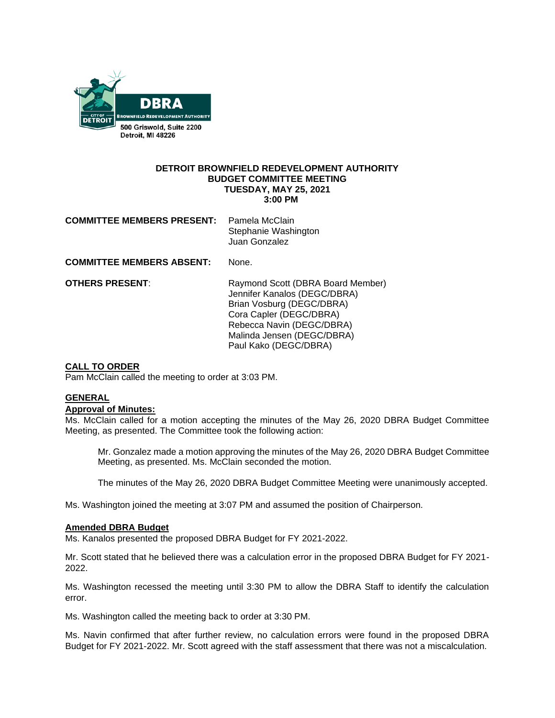

#### **DETROIT BROWNFIELD REDEVELOPMENT AUTHORITY BUDGET COMMITTEE MEETING TUESDAY, MAY 25, 2021 3:00 PM**

| <b>COMMITTEE MEMBERS PRESENT:</b> Pamela McClain |                      |
|--------------------------------------------------|----------------------|
|                                                  | Stephanie Washington |
|                                                  | Juan Gonzalez        |

**COMMITTEE MEMBERS ABSENT:** None.

**OTHERS PRESENT:** Raymond Scott (DBRA Board Member) Jennifer Kanalos (DEGC/DBRA) Brian Vosburg (DEGC/DBRA) Cora Capler (DEGC/DBRA) Rebecca Navin (DEGC/DBRA) Malinda Jensen (DEGC/DBRA) Paul Kako (DEGC/DBRA)

### **CALL TO ORDER**

Pam McClain called the meeting to order at 3:03 PM.

# **GENERAL**

## **Approval of Minutes:**

Ms. McClain called for a motion accepting the minutes of the May 26, 2020 DBRA Budget Committee Meeting, as presented. The Committee took the following action:

Mr. Gonzalez made a motion approving the minutes of the May 26, 2020 DBRA Budget Committee Meeting, as presented. Ms. McClain seconded the motion.

The minutes of the May 26, 2020 DBRA Budget Committee Meeting were unanimously accepted.

Ms. Washington joined the meeting at 3:07 PM and assumed the position of Chairperson.

#### **Amended DBRA Budget**

Ms. Kanalos presented the proposed DBRA Budget for FY 2021-2022.

Mr. Scott stated that he believed there was a calculation error in the proposed DBRA Budget for FY 2021- 2022.

Ms. Washington recessed the meeting until 3:30 PM to allow the DBRA Staff to identify the calculation error.

Ms. Washington called the meeting back to order at 3:30 PM.

Ms. Navin confirmed that after further review, no calculation errors were found in the proposed DBRA Budget for FY 2021-2022. Mr. Scott agreed with the staff assessment that there was not a miscalculation.